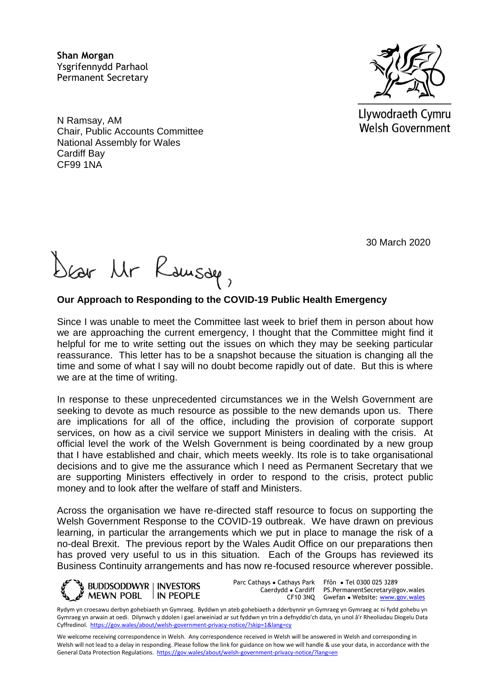**Shan Morgan**  Ysgrifennydd Parhaol Permanent Secretary

N Ramsay, AM Chair, Public Accounts Committee National Assembly for Wales Cardiff Bay CF99 1NA



Dear Mr Rausde,

## **Our Approach to Responding to the COVID-19 Public Health Emergency**

Since I was unable to meet the Committee last week to brief them in person about how we are approaching the current emergency, I thought that the Committee might find it helpful for me to write setting out the issues on which they may be seeking particular reassurance. This letter has to be a snapshot because the situation is changing all the time and some of what I say will no doubt become rapidly out of date. But this is where we are at the time of writing.

In response to these unprecedented circumstances we in the Welsh Government are seeking to devote as much resource as possible to the new demands upon us. There are implications for all of the office, including the provision of corporate support services, on how as a civil service we support Ministers in dealing with the crisis. At official level the work of the Welsh Government is being coordinated by a new group that I have established and chair, which meets weekly. Its role is to take organisational decisions and to give me the assurance which I need as Permanent Secretary that we are supporting Ministers effectively in order to respond to the crisis, protect public money and to look after the welfare of staff and Ministers.

Across the organisation we have re-directed staff resource to focus on supporting the Welsh Government Response to the COVID-19 outbreak. We have drawn on previous learning, in particular the arrangements which we put in place to manage the risk of a no-deal Brexit. The previous report by the Wales Audit Office on our preparations then has proved very useful to us in this situation. Each of the Groups has reviewed its Business Continuity arrangements and has now re-focused resource wherever possible.



Parc Cathays ● Cathays Park Caerdydd ● Cardiff

CF10 3NQ Gwefan • Website: [www.gov.wales](http://www.gov.wales/) Ffôn ● Tel 0300 025 3289 PS.PermanentSecretary@gov.wales

Rydym yn croesawu derbyn gohebiaeth yn Gymraeg. Byddwn yn ateb gohebiaeth a dderbynnir yn Gymraeg yn Gymraeg ac ni fydd gohebu yn Gymraeg yn arwain at oedi. Dilynwch y ddolen i gael arweiniad ar sut fyddwn yn trin a defnyddio'ch data, yn unol â'r Rheoliadau Diogelu Data Cyffredinol.<https://gov.wales/about/welsh-government-privacy-notice/?skip=1&lang=cy>

We welcome receiving correspondence in Welsh. Any correspondence received in Welsh will be answered in Welsh and corresponding in Welsh will not lead to a delay in responding. Please follow the link for guidance on how we will handle & use your data, in accordance with the General Data Protection Regulations.<https://gov.wales/about/welsh-government-privacy-notice/?lang=en>



Llywodraeth Cymru **Welsh Government**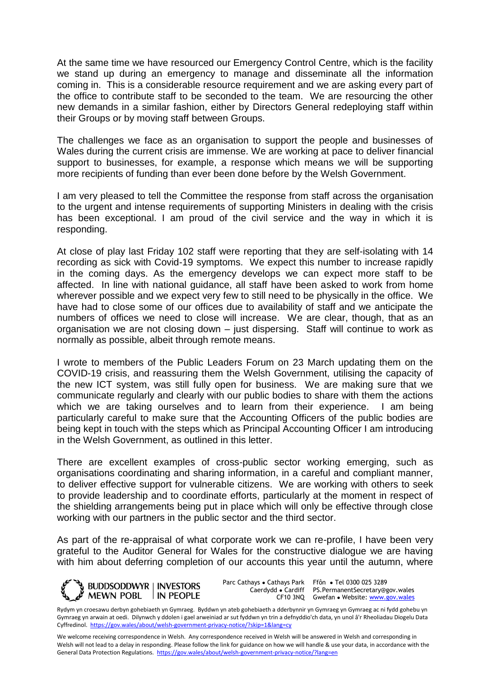At the same time we have resourced our Emergency Control Centre, which is the facility we stand up during an emergency to manage and disseminate all the information coming in. This is a considerable resource requirement and we are asking every part of the office to contribute staff to be seconded to the team. We are resourcing the other new demands in a similar fashion, either by Directors General redeploying staff within their Groups or by moving staff between Groups.

The challenges we face as an organisation to support the people and businesses of Wales during the current crisis are immense. We are working at pace to deliver financial support to businesses, for example, a response which means we will be supporting more recipients of funding than ever been done before by the Welsh Government.

I am very pleased to tell the Committee the response from staff across the organisation to the urgent and intense requirements of supporting Ministers in dealing with the crisis has been exceptional. I am proud of the civil service and the way in which it is responding.

At close of play last Friday 102 staff were reporting that they are self-isolating with 14 recording as sick with Covid-19 symptoms. We expect this number to increase rapidly in the coming days. As the emergency develops we can expect more staff to be affected. In line with national guidance, all staff have been asked to work from home wherever possible and we expect very few to still need to be physically in the office. We have had to close some of our offices due to availability of staff and we anticipate the numbers of offices we need to close will increase. We are clear, though, that as an organisation we are not closing down – just dispersing. Staff will continue to work as normally as possible, albeit through remote means.

I wrote to members of the Public Leaders Forum on 23 March updating them on the COVID-19 crisis, and reassuring them the Welsh Government, utilising the capacity of the new ICT system, was still fully open for business. We are making sure that we communicate regularly and clearly with our public bodies to share with them the actions which we are taking ourselves and to learn from their experience. I am being particularly careful to make sure that the Accounting Officers of the public bodies are being kept in touch with the steps which as Principal Accounting Officer I am introducing in the Welsh Government, as outlined in this letter.

There are excellent examples of cross-public sector working emerging, such as organisations coordinating and sharing information, in a careful and compliant manner, to deliver effective support for vulnerable citizens. We are working with others to seek to provide leadership and to coordinate efforts, particularly at the moment in respect of the shielding arrangements being put in place which will only be effective through close working with our partners in the public sector and the third sector.

As part of the re-appraisal of what corporate work we can re-profile, I have been very grateful to the Auditor General for Wales for the constructive dialogue we are having with him about deferring completion of our accounts this year until the autumn, where



Parc Cathays ● Cathays Park Caerdydd ● Cardiff

CF10 3NQ Gwefan • Website: [www.gov.wales](http://www.gov.wales/) Ffôn ● Tel 0300 025 3289 PS.PermanentSecretary@gov.wales

Rydym yn croesawu derbyn gohebiaeth yn Gymraeg. Byddwn yn ateb gohebiaeth a dderbynnir yn Gymraeg yn Gymraeg ac ni fydd gohebu yn Gymraeg yn arwain at oedi. Dilynwch y ddolen i gael arweiniad ar sut fyddwn yn trin a defnyddio'ch data, yn unol â'r Rheoliadau Diogelu Data Cyffredinol.<https://gov.wales/about/welsh-government-privacy-notice/?skip=1&lang=cy>

We welcome receiving correspondence in Welsh. Any correspondence received in Welsh will be answered in Welsh and corresponding in Welsh will not lead to a delay in responding. Please follow the link for guidance on how we will handle & use your data, in accordance with the General Data Protection Regulations.<https://gov.wales/about/welsh-government-privacy-notice/?lang=en>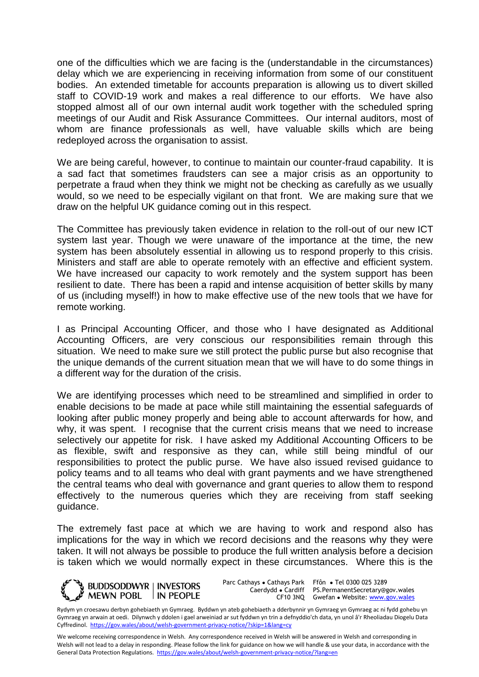one of the difficulties which we are facing is the (understandable in the circumstances) delay which we are experiencing in receiving information from some of our constituent bodies. An extended timetable for accounts preparation is allowing us to divert skilled staff to COVID-19 work and makes a real difference to our efforts. We have also stopped almost all of our own internal audit work together with the scheduled spring meetings of our Audit and Risk Assurance Committees. Our internal auditors, most of whom are finance professionals as well, have valuable skills which are being redeployed across the organisation to assist.

We are being careful, however, to continue to maintain our counter-fraud capability. It is a sad fact that sometimes fraudsters can see a major crisis as an opportunity to perpetrate a fraud when they think we might not be checking as carefully as we usually would, so we need to be especially vigilant on that front. We are making sure that we draw on the helpful UK guidance coming out in this respect.

The Committee has previously taken evidence in relation to the roll-out of our new ICT system last year. Though we were unaware of the importance at the time, the new system has been absolutely essential in allowing us to respond properly to this crisis. Ministers and staff are able to operate remotely with an effective and efficient system. We have increased our capacity to work remotely and the system support has been resilient to date. There has been a rapid and intense acquisition of better skills by many of us (including myself!) in how to make effective use of the new tools that we have for remote working.

I as Principal Accounting Officer, and those who I have designated as Additional Accounting Officers, are very conscious our responsibilities remain through this situation. We need to make sure we still protect the public purse but also recognise that the unique demands of the current situation mean that we will have to do some things in a different way for the duration of the crisis.

We are identifying processes which need to be streamlined and simplified in order to enable decisions to be made at pace while still maintaining the essential safeguards of looking after public money properly and being able to account afterwards for how, and why, it was spent. I recognise that the current crisis means that we need to increase selectively our appetite for risk. I have asked my Additional Accounting Officers to be as flexible, swift and responsive as they can, while still being mindful of our responsibilities to protect the public purse. We have also issued revised guidance to policy teams and to all teams who deal with grant payments and we have strengthened the central teams who deal with governance and grant queries to allow them to respond effectively to the numerous queries which they are receiving from staff seeking guidance.

The extremely fast pace at which we are having to work and respond also has implications for the way in which we record decisions and the reasons why they were taken. It will not always be possible to produce the full written analysis before a decision is taken which we would normally expect in these circumstances. Where this is the



Parc Cathays ● Cathays Park

Caerdydd ● Cardiff PS.PermanentSecretary@gov.wales CF10 3NQ Gwefan • Website: [www.gov.wales](http://www.gov.wales/) Ffôn ● Tel 0300 025 3289

We welcome receiving correspondence in Welsh. Any correspondence received in Welsh will be answered in Welsh and corresponding in Welsh will not lead to a delay in responding. Please follow the link for guidance on how we will handle & use your data, in accordance with the General Data Protection Regulations.<https://gov.wales/about/welsh-government-privacy-notice/?lang=en>

Rydym yn croesawu derbyn gohebiaeth yn Gymraeg. Byddwn yn ateb gohebiaeth a dderbynnir yn Gymraeg yn Gymraeg ac ni fydd gohebu yn Gymraeg yn arwain at oedi. Dilynwch y ddolen i gael arweiniad ar sut fyddwn yn trin a defnyddio'ch data, yn unol â'r Rheoliadau Diogelu Data Cyffredinol.<https://gov.wales/about/welsh-government-privacy-notice/?skip=1&lang=cy>